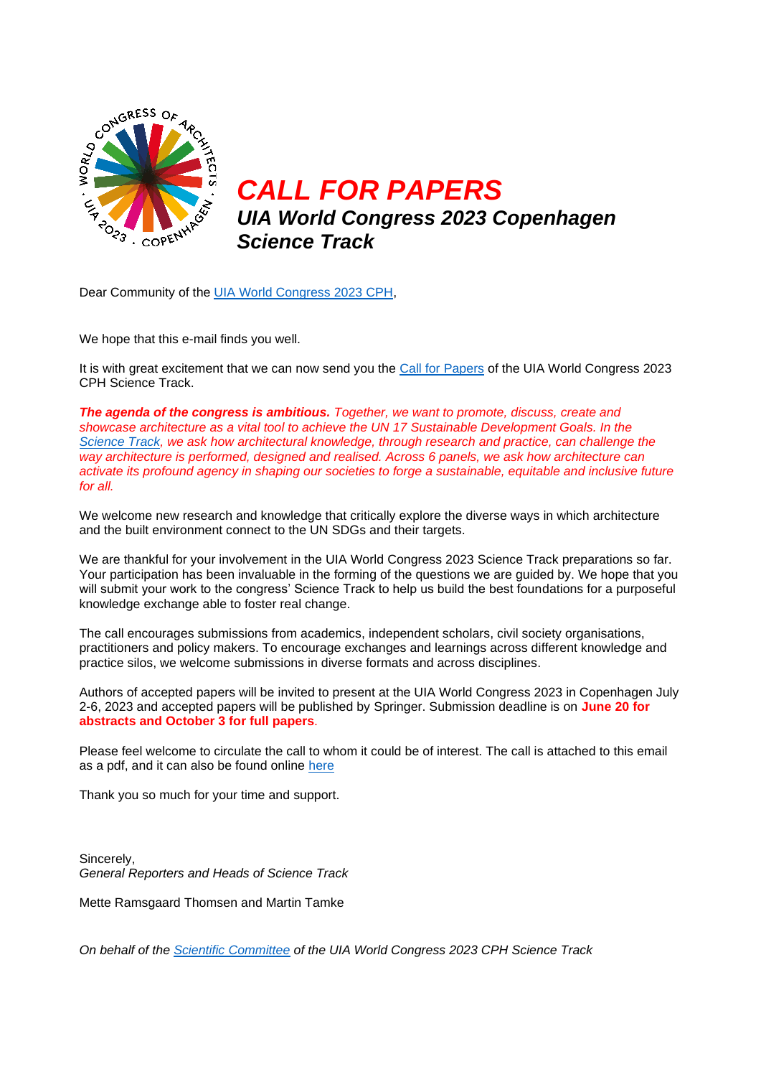

*CALL FOR PAPERS UIA World Congress 2023 Copenhagen Science Track*

Dear Community of the [UIA World Congress 2023 CPH,](https://uia2023cph.org/)

We hope that this e-mail finds you well.

It is with great excitement that we can now send you the [Call for Papers](https://uia2023cph.org/participate/call-for-papers-and-abstracts) of the UIA World Congress 2023 CPH Science Track.

*The agenda of the congress is ambitious. Together, we want to promote, discuss, create and showcase architecture as a vital tool to achieve the UN 17 Sustainable Development Goals. In the [Science Track,](https://uia2023cph.org/science-track/) we ask how architectural knowledge, through research and practice, can challenge the way architecture is performed, designed and realised. Across 6 panels, we ask how architecture can activate its profound agency in shaping our societies to forge a sustainable, equitable and inclusive future for all.*

We welcome new research and knowledge that critically explore the diverse ways in which architecture and the built environment connect to the UN SDGs and their targets.

We are thankful for your involvement in the UIA World Congress 2023 Science Track preparations so far. Your participation has been invaluable in the forming of the questions we are guided by. We hope that you will submit your work to the congress' Science Track to help us build the best foundations for a purposeful knowledge exchange able to foster real change.

The call encourages submissions from academics, independent scholars, civil society organisations, practitioners and policy makers. To encourage exchanges and learnings across different knowledge and practice silos, we welcome submissions in diverse formats and across disciplines.

Authors of accepted papers will be invited to present at the UIA World Congress 2023 in Copenhagen July 2-6, 2023 and accepted papers will be published by Springer. Submission deadline is on **June 20 for abstracts and October 3 for full papers**.

Please feel welcome to circulate the call to whom it could be of interest. The call is attached to this email as a pdf, and it can also be found online [here](https://uia2023cph.org/participate/call-for-papers-and-abstracts)

Thank you so much for your time and support.

Sincerely, *General Reporters and Heads of Science Track*

Mette Ramsgaard Thomsen and Martin Tamke

*On behalf of the [Scientific Committee](https://uia2023cph.org/science-track/science-committee) of the UIA World Congress 2023 CPH Science Track*